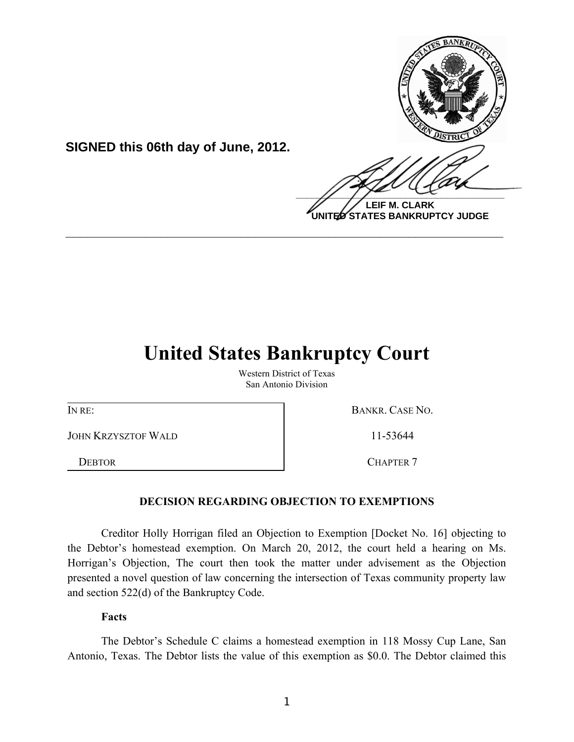

**UNITED STATES BANKRUPTCY JUDGE**

# **United States Bankruptcy Court**

**\_\_\_\_\_\_\_\_\_\_\_\_\_\_\_\_\_\_\_\_\_\_\_\_\_\_\_\_\_\_\_\_\_\_\_\_\_\_\_\_\_\_\_\_\_\_\_\_\_\_\_\_\_\_\_\_\_\_\_\_**

Western District of Texas San Antonio Division

JOHN KRZYSZTOF WALD 11-53644

**SIGNED this 06th day of June, 2012.**

IN RE: BANKR. CASE NO.

DEBTOR CHAPTER 7

## **DECISION REGARDING OBJECTION TO EXEMPTIONS**

Creditor Holly Horrigan filed an Objection to Exemption [Docket No. 16] objecting to the Debtor's homestead exemption. On March 20, 2012, the court held a hearing on Ms. Horrigan's Objection, The court then took the matter under advisement as the Objection presented a novel question of law concerning the intersection of Texas community property law and section 522(d) of the Bankruptcy Code.

**Facts**

The Debtor's Schedule C claims a homestead exemption in 118 Mossy Cup Lane, San Antonio, Texas. The Debtor lists the value of this exemption as \$0.0. The Debtor claimed this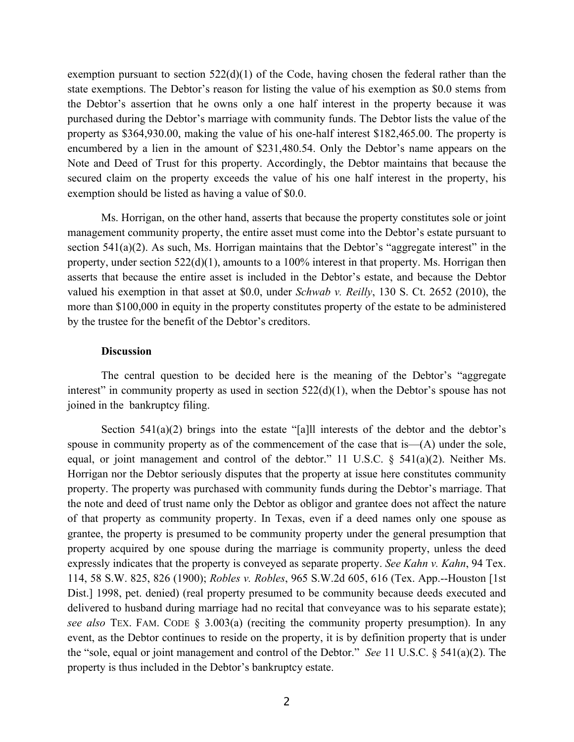exemption pursuant to section  $522(d)(1)$  of the Code, having chosen the federal rather than the state exemptions. The Debtor's reason for listing the value of his exemption as \$0.0 stems from the Debtor's assertion that he owns only a one half interest in the property because it was purchased during the Debtor's marriage with community funds. The Debtor lists the value of the property as \$364,930.00, making the value of his one-half interest \$182,465.00. The property is encumbered by a lien in the amount of \$231,480.54. Only the Debtor's name appears on the Note and Deed of Trust for this property. Accordingly, the Debtor maintains that because the secured claim on the property exceeds the value of his one half interest in the property, his exemption should be listed as having a value of \$0.0.

Ms. Horrigan, on the other hand, asserts that because the property constitutes sole or joint management community property, the entire asset must come into the Debtor's estate pursuant to section  $541(a)(2)$ . As such, Ms. Horrigan maintains that the Debtor's "aggregate interest" in the property, under section 522(d)(1), amounts to a 100% interest in that property. Ms. Horrigan then asserts that because the entire asset is included in the Debtor's estate, and because the Debtor valued his exemption in that asset at \$0.0, under *Schwab v. Reilly*, 130 S. Ct. 2652 (2010), the more than \$100,000 in equity in the property constitutes property of the estate to be administered by the trustee for the benefit of the Debtor's creditors.

### **Discussion**

The central question to be decided here is the meaning of the Debtor's "aggregate interest" in community property as used in section  $522(d)(1)$ , when the Debtor's spouse has not joined in the bankruptcy filing.

Section  $541(a)(2)$  brings into the estate "[a]ll interests of the debtor and the debtor's spouse in community property as of the commencement of the case that is—(A) under the sole, equal, or joint management and control of the debtor." 11 U.S.C. § 541(a)(2). Neither Ms. Horrigan nor the Debtor seriously disputes that the property at issue here constitutes community property. The property was purchased with community funds during the Debtor's marriage. That the note and deed of trust name only the Debtor as obligor and grantee does not affect the nature of that property as community property. In Texas, even if a deed names only one spouse as grantee, the property is presumed to be community property under the general presumption that property acquired by one spouse during the marriage is community property, unless the deed expressly indicates that the property is conveyed as separate property. *See Kahn v. Kahn*, 94 Tex. 114, 58 S.W. 825, 826 (1900); *Robles v. Robles*, 965 S.W.2d 605, 616 (Tex. App.--Houston [1st Dist.] 1998, pet. denied) (real property presumed to be community because deeds executed and delivered to husband during marriage had no recital that conveyance was to his separate estate); *see also* TEX. FAM. CODE § 3.003(a) (reciting the community property presumption). In any event, as the Debtor continues to reside on the property, it is by definition property that is under the "sole, equal or joint management and control of the Debtor." *See* 11 U.S.C. § 541(a)(2). The property is thus included in the Debtor's bankruptcy estate.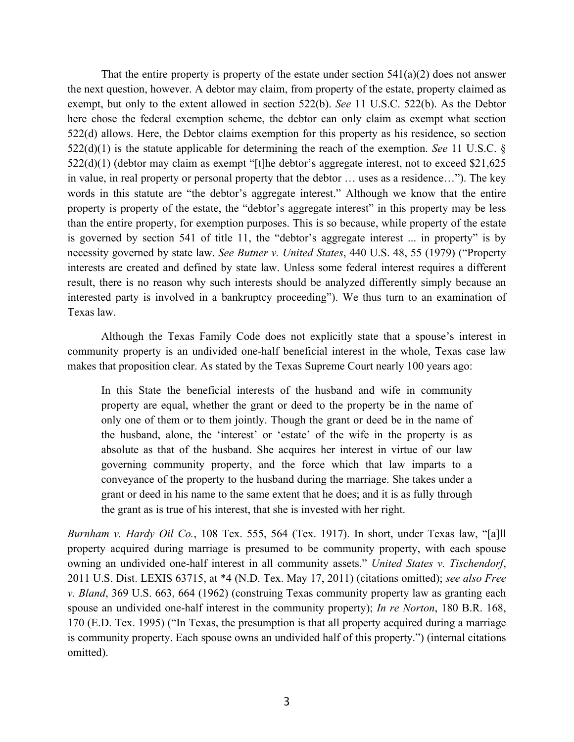That the entire property is property of the estate under section  $541(a)(2)$  does not answer the next question, however. A debtor may claim, from property of the estate, property claimed as exempt, but only to the extent allowed in section 522(b). *See* 11 U.S.C. 522(b). As the Debtor here chose the federal exemption scheme, the debtor can only claim as exempt what section 522(d) allows. Here, the Debtor claims exemption for this property as his residence, so section 522(d)(1) is the statute applicable for determining the reach of the exemption. *See* 11 U.S.C. § 522(d)(1) (debtor may claim as exempt "[t]he debtor's aggregate interest, not to exceed \$21,625 in value, in real property or personal property that the debtor … uses as a residence…"). The key words in this statute are "the debtor's aggregate interest." Although we know that the entire property is property of the estate, the "debtor's aggregate interest" in this property may be less than the entire property, for exemption purposes. This is so because, while property of the estate is governed by section 541 of title 11, the "debtor's aggregate interest ... in property" is by necessity governed by state law. *See Butner v. United States*, 440 U.S. 48, 55 (1979) ("Property interests are created and defined by state law. Unless some federal interest requires a different result, there is no reason why such interests should be analyzed differently simply because an interested party is involved in a bankruptcy proceeding"). We thus turn to an examination of Texas law.

Although the Texas Family Code does not explicitly state that a spouse's interest in community property is an undivided one-half beneficial interest in the whole, Texas case law makes that proposition clear. As stated by the Texas Supreme Court nearly 100 years ago:

In this State the beneficial interests of the husband and wife in community property are equal, whether the grant or deed to the property be in the name of only one of them or to them jointly. Though the grant or deed be in the name of the husband, alone, the 'interest' or 'estate' of the wife in the property is as absolute as that of the husband. She acquires her interest in virtue of our law governing community property, and the force which that law imparts to a conveyance of the property to the husband during the marriage. She takes under a grant or deed in his name to the same extent that he does; and it is as fully through the grant as is true of his interest, that she is invested with her right.

*Burnham v. Hardy Oil Co.*, 108 Tex. 555, 564 (Tex. 1917). In short, under Texas law, "[a]ll property acquired during marriage is presumed to be community property, with each spouse owning an undivided one-half interest in all community assets." *United States v. Tischendorf*, 2011 U.S. Dist. LEXIS 63715, at \*4 (N.D. Tex. May 17, 2011) (citations omitted); *see also Free v. Bland*, 369 U.S. 663, 664 (1962) (construing Texas community property law as granting each spouse an undivided one-half interest in the community property); *In re Norton*, 180 B.R. 168, 170 (E.D. Tex. 1995) ("In Texas, the presumption is that all property acquired during a marriage is community property. Each spouse owns an undivided half of this property.") (internal citations omitted).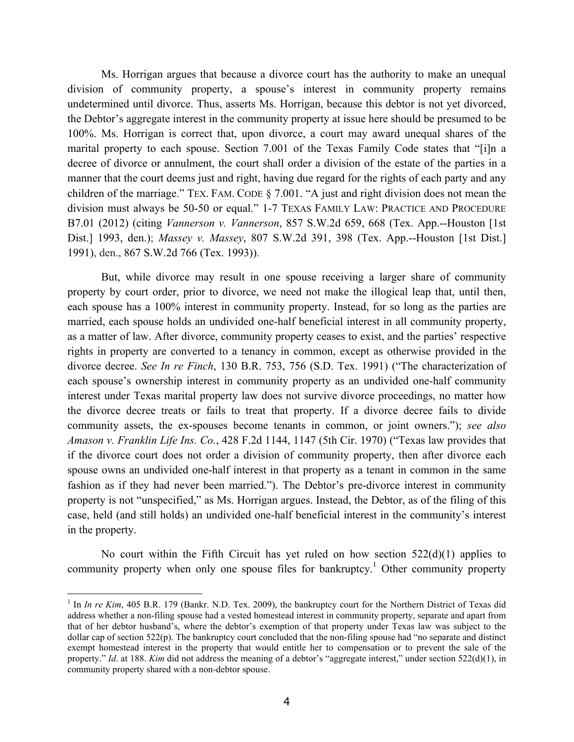Ms. Horrigan argues that because a divorce court has the authority to make an unequal division of community property, a spouse's interest in community property remains undetermined until divorce. Thus, asserts Ms. Horrigan, because this debtor is not yet divorced, the Debtor's aggregate interest in the community property at issue here should be presumed to be 100%. Ms. Horrigan is correct that, upon divorce, a court may award unequal shares of the marital property to each spouse. Section 7.001 of the Texas Family Code states that "[i]n a decree of divorce or annulment, the court shall order a division of the estate of the parties in a manner that the court deems just and right, having due regard for the rights of each party and any children of the marriage." TEX. FAM. CODE § 7.001. "A just and right division does not mean the division must always be 50-50 or equal." 1-7 TEXAS FAMILY LAW: PRACTICE AND PROCEDURE B7.01 (2012) (citing *Vannerson v. Vannerson*, 857 S.W.2d 659, 668 (Tex. App.--Houston [1st Dist.] 1993, den.); *Massey v. Massey*, 807 S.W.2d 391, 398 (Tex. App.--Houston [1st Dist.] 1991), den., 867 S.W.2d 766 (Tex. 1993)).

But, while divorce may result in one spouse receiving a larger share of community property by court order, prior to divorce, we need not make the illogical leap that, until then, each spouse has a 100% interest in community property. Instead, for so long as the parties are married, each spouse holds an undivided one-half beneficial interest in all community property, as a matter of law. After divorce, community property ceases to exist, and the parties' respective rights in property are converted to a tenancy in common, except as otherwise provided in the divorce decree. *See In re Finch*, 130 B.R. 753, 756 (S.D. Tex. 1991) ("The characterization of each spouse's ownership interest in community property as an undivided one-half community interest under Texas marital property law does not survive divorce proceedings, no matter how the divorce decree treats or fails to treat that property. If a divorce decree fails to divide community assets, the ex-spouses become tenants in common, or joint owners."); *see also Amason v. Franklin Life Ins. Co.*, 428 F.2d 1144, 1147 (5th Cir. 1970) ("Texas law provides that if the divorce court does not order a division of community property, then after divorce each spouse owns an undivided one-half interest in that property as a tenant in common in the same fashion as if they had never been married."). The Debtor's pre-divorce interest in community property is not "unspecified," as Ms. Horrigan argues. Instead, the Debtor, as of the filing of this case, held (and still holds) an undivided one-half beneficial interest in the community's interest in the property.

No court within the Fifth Circuit has yet ruled on how section  $522(d)(1)$  applies to community property when only one spouse files for bankruptcy.<sup>1</sup> Other community property

 $\overline{a}$ 

<sup>&</sup>lt;sup>1</sup> In *In re Kim*, 405 B.R. 179 (Bankr. N.D. Tex. 2009), the bankruptcy court for the Northern District of Texas did address whether a non-filing spouse had a vested homestead interest in community property, separate and apart from that of her debtor husband's, where the debtor's exemption of that property under Texas law was subject to the dollar cap of section 522(p). The bankruptcy court concluded that the non-filing spouse had "no separate and distinct exempt homestead interest in the property that would entitle her to compensation or to prevent the sale of the property." *Id*. at 188. *Kim* did not address the meaning of a debtor's "aggregate interest," under section 522(d)(1), in community property shared with a non-debtor spouse.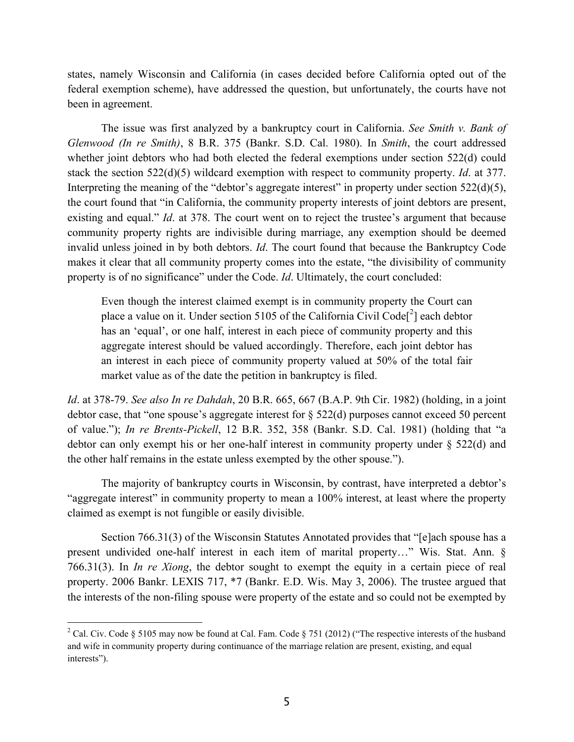states, namely Wisconsin and California (in cases decided before California opted out of the federal exemption scheme), have addressed the question, but unfortunately, the courts have not been in agreement.

The issue was first analyzed by a bankruptcy court in California. *See Smith v. Bank of Glenwood (In re Smith)*, 8 B.R. 375 (Bankr. S.D. Cal. 1980). In *Smith*, the court addressed whether joint debtors who had both elected the federal exemptions under section 522(d) could stack the section 522(d)(5) wildcard exemption with respect to community property. *Id*. at 377. Interpreting the meaning of the "debtor's aggregate interest" in property under section 522(d)(5), the court found that "in California, the community property interests of joint debtors are present, existing and equal." *Id.* at 378. The court went on to reject the trustee's argument that because community property rights are indivisible during marriage, any exemption should be deemed invalid unless joined in by both debtors. *Id*. The court found that because the Bankruptcy Code makes it clear that all community property comes into the estate, "the divisibility of community property is of no significance" under the Code. *Id*. Ultimately, the court concluded:

Even though the interest claimed exempt is in community property the Court can place a value on it. Under section 5105 of the California Civil Code<sup>[2</sup>] each debtor has an 'equal', or one half, interest in each piece of community property and this aggregate interest should be valued accordingly. Therefore, each joint debtor has an interest in each piece of community property valued at 50% of the total fair market value as of the date the petition in bankruptcy is filed.

*Id*. at 378-79. *See also In re Dahdah*, 20 B.R. 665, 667 (B.A.P. 9th Cir. 1982) (holding, in a joint debtor case, that "one spouse's aggregate interest for § 522(d) purposes cannot exceed 50 percent of value."); *In re Brents-Pickell*, 12 B.R. 352, 358 (Bankr. S.D. Cal. 1981) (holding that "a debtor can only exempt his or her one-half interest in community property under § 522(d) and the other half remains in the estate unless exempted by the other spouse.").

The majority of bankruptcy courts in Wisconsin, by contrast, have interpreted a debtor's "aggregate interest" in community property to mean a 100% interest, at least where the property claimed as exempt is not fungible or easily divisible.

Section 766.31(3) of the Wisconsin Statutes Annotated provides that "[e]ach spouse has a present undivided one-half interest in each item of marital property…" Wis. Stat. Ann. § 766.31(3). In *In re Xiong*, the debtor sought to exempt the equity in a certain piece of real property. 2006 Bankr. LEXIS 717, \*7 (Bankr. E.D. Wis. May 3, 2006). The trustee argued that the interests of the non-filing spouse were property of the estate and so could not be exempted by

-

<sup>&</sup>lt;sup>2</sup> Cal. Civ. Code § 5105 may now be found at Cal. Fam. Code § 751 (2012) ("The respective interests of the husband and wife in community property during continuance of the marriage relation are present, existing, and equal interests").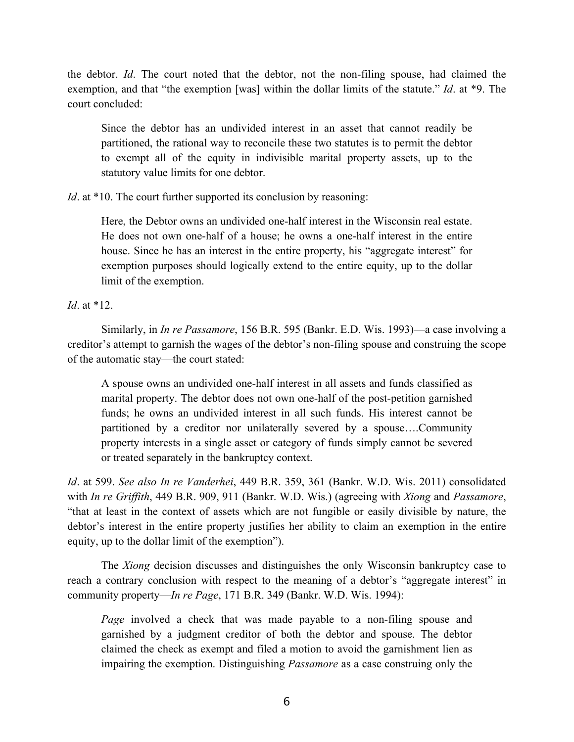the debtor. *Id*. The court noted that the debtor, not the non-filing spouse, had claimed the exemption, and that "the exemption [was] within the dollar limits of the statute." *Id*. at \*9. The court concluded:

Since the debtor has an undivided interest in an asset that cannot readily be partitioned, the rational way to reconcile these two statutes is to permit the debtor to exempt all of the equity in indivisible marital property assets, up to the statutory value limits for one debtor.

*Id*. at \*10. The court further supported its conclusion by reasoning:

Here, the Debtor owns an undivided one-half interest in the Wisconsin real estate. He does not own one-half of a house; he owns a one-half interest in the entire house. Since he has an interest in the entire property, his "aggregate interest" for exemption purposes should logically extend to the entire equity, up to the dollar limit of the exemption.

*Id*. at \*12.

Similarly, in *In re Passamore*, 156 B.R. 595 (Bankr. E.D. Wis. 1993)—a case involving a creditor's attempt to garnish the wages of the debtor's non-filing spouse and construing the scope of the automatic stay—the court stated:

A spouse owns an undivided one-half interest in all assets and funds classified as marital property. The debtor does not own one-half of the post-petition garnished funds; he owns an undivided interest in all such funds. His interest cannot be partitioned by a creditor nor unilaterally severed by a spouse….Community property interests in a single asset or category of funds simply cannot be severed or treated separately in the bankruptcy context.

*Id*. at 599. *See also In re Vanderhei*, 449 B.R. 359, 361 (Bankr. W.D. Wis. 2011) consolidated with *In re Griffith*, 449 B.R. 909, 911 (Bankr. W.D. Wis.) (agreeing with *Xiong* and *Passamore*, "that at least in the context of assets which are not fungible or easily divisible by nature, the debtor's interest in the entire property justifies her ability to claim an exemption in the entire equity, up to the dollar limit of the exemption").

The *Xiong* decision discusses and distinguishes the only Wisconsin bankruptcy case to reach a contrary conclusion with respect to the meaning of a debtor's "aggregate interest" in community property—*In re Page*, 171 B.R. 349 (Bankr. W.D. Wis. 1994):

*Page* involved a check that was made payable to a non-filing spouse and garnished by a judgment creditor of both the debtor and spouse. The debtor claimed the check as exempt and filed a motion to avoid the garnishment lien as impairing the exemption. Distinguishing *Passamore* as a case construing only the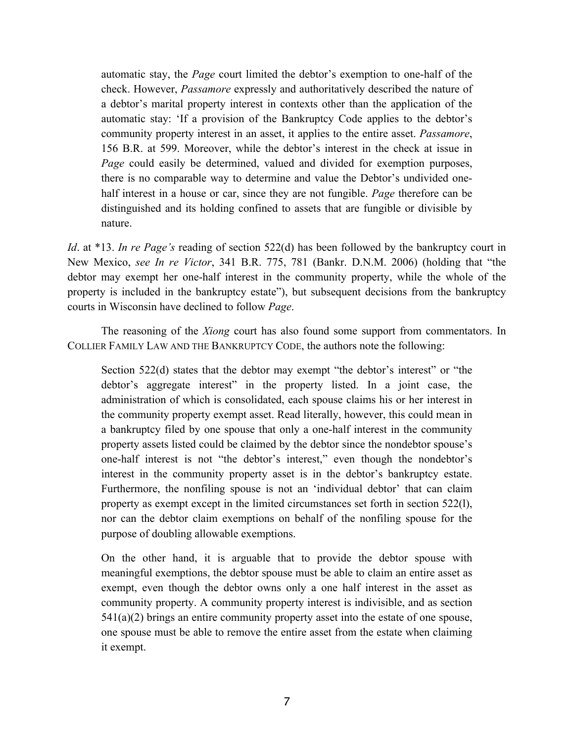automatic stay, the *Page* court limited the debtor's exemption to one-half of the check. However, *Passamore* expressly and authoritatively described the nature of a debtor's marital property interest in contexts other than the application of the automatic stay: 'If a provision of the Bankruptcy Code applies to the debtor's community property interest in an asset, it applies to the entire asset. *Passamore*, 156 B.R. at 599. Moreover, while the debtor's interest in the check at issue in *Page* could easily be determined, valued and divided for exemption purposes, there is no comparable way to determine and value the Debtor's undivided onehalf interest in a house or car, since they are not fungible. *Page* therefore can be distinguished and its holding confined to assets that are fungible or divisible by nature.

*Id*. at \*13. *In re Page's* reading of section 522(d) has been followed by the bankruptcy court in New Mexico, *see In re Victor*, 341 B.R. 775, 781 (Bankr. D.N.M. 2006) (holding that "the debtor may exempt her one-half interest in the community property, while the whole of the property is included in the bankruptcy estate"), but subsequent decisions from the bankruptcy courts in Wisconsin have declined to follow *Page*.

The reasoning of the *Xiong* court has also found some support from commentators. In COLLIER FAMILY LAW AND THE BANKRUPTCY CODE, the authors note the following:

Section 522(d) states that the debtor may exempt "the debtor's interest" or "the debtor's aggregate interest" in the property listed. In a joint case, the administration of which is consolidated, each spouse claims his or her interest in the community property exempt asset. Read literally, however, this could mean in a bankruptcy filed by one spouse that only a one-half interest in the community property assets listed could be claimed by the debtor since the nondebtor spouse's one-half interest is not "the debtor's interest," even though the nondebtor's interest in the community property asset is in the debtor's bankruptcy estate. Furthermore, the nonfiling spouse is not an 'individual debtor' that can claim property as exempt except in the limited circumstances set forth in section 522(l), nor can the debtor claim exemptions on behalf of the nonfiling spouse for the purpose of doubling allowable exemptions.

On the other hand, it is arguable that to provide the debtor spouse with meaningful exemptions, the debtor spouse must be able to claim an entire asset as exempt, even though the debtor owns only a one half interest in the asset as community property. A community property interest is indivisible, and as section 541(a)(2) brings an entire community property asset into the estate of one spouse, one spouse must be able to remove the entire asset from the estate when claiming it exempt.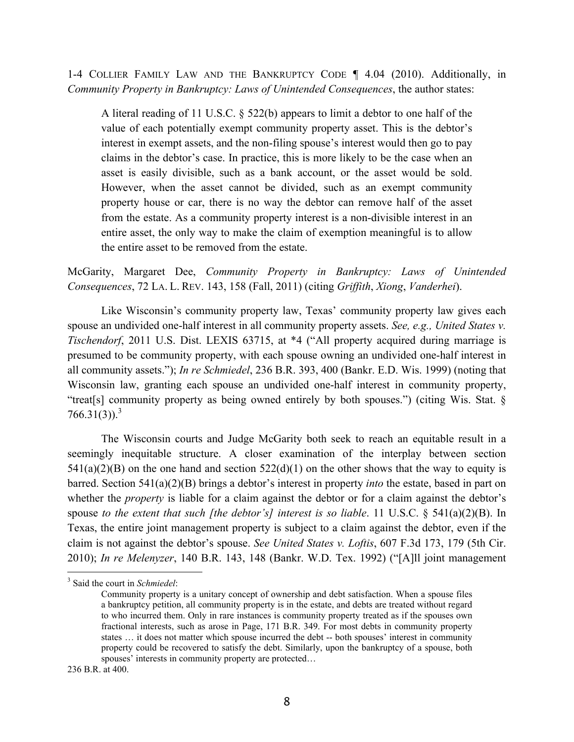1-4 COLLIER FAMILY LAW AND THE BANKRUPTCY CODE ¶ 4.04 (2010). Additionally, in *Community Property in Bankruptcy: Laws of Unintended Consequences*, the author states:

A literal reading of 11 U.S.C. § 522(b) appears to limit a debtor to one half of the value of each potentially exempt community property asset. This is the debtor's interest in exempt assets, and the non-filing spouse's interest would then go to pay claims in the debtor's case. In practice, this is more likely to be the case when an asset is easily divisible, such as a bank account, or the asset would be sold. However, when the asset cannot be divided, such as an exempt community property house or car, there is no way the debtor can remove half of the asset from the estate. As a community property interest is a non-divisible interest in an entire asset, the only way to make the claim of exemption meaningful is to allow the entire asset to be removed from the estate.

McGarity, Margaret Dee, *Community Property in Bankruptcy: Laws of Unintended Consequences*, 72 LA. L. REV. 143, 158 (Fall, 2011) (citing *Griffith*, *Xiong*, *Vanderhei*).

Like Wisconsin's community property law, Texas' community property law gives each spouse an undivided one-half interest in all community property assets. *See, e.g., United States v. Tischendorf*, 2011 U.S. Dist. LEXIS 63715, at \*4 ("All property acquired during marriage is presumed to be community property, with each spouse owning an undivided one-half interest in all community assets."); *In re Schmiedel*, 236 B.R. 393, 400 (Bankr. E.D. Wis. 1999) (noting that Wisconsin law, granting each spouse an undivided one-half interest in community property, "treat[s] community property as being owned entirely by both spouses.") (citing Wis. Stat. §  $766.31(3)$ .<sup>3</sup>

The Wisconsin courts and Judge McGarity both seek to reach an equitable result in a seemingly inequitable structure. A closer examination of the interplay between section  $541(a)(2)(B)$  on the one hand and section  $522(d)(1)$  on the other shows that the way to equity is barred. Section 541(a)(2)(B) brings a debtor's interest in property *into* the estate, based in part on whether the *property* is liable for a claim against the debtor or for a claim against the debtor's spouse *to the extent that such [the debtor's] interest is so liable*. 11 U.S.C. § 541(a)(2)(B). In Texas, the entire joint management property is subject to a claim against the debtor, even if the claim is not against the debtor's spouse. *See United States v. Loftis*, 607 F.3d 173, 179 (5th Cir. 2010); *In re Melenyzer*, 140 B.R. 143, 148 (Bankr. W.D. Tex. 1992) ("[A]ll joint management

j

<sup>3</sup> Said the court in *Schmiedel*:

Community property is a unitary concept of ownership and debt satisfaction. When a spouse files a bankruptcy petition, all community property is in the estate, and debts are treated without regard to who incurred them. Only in rare instances is community property treated as if the spouses own fractional interests, such as arose in Page, 171 B.R. 349. For most debts in community property states … it does not matter which spouse incurred the debt -- both spouses' interest in community property could be recovered to satisfy the debt. Similarly, upon the bankruptcy of a spouse, both spouses' interests in community property are protected...

<sup>236</sup> B.R. at 400.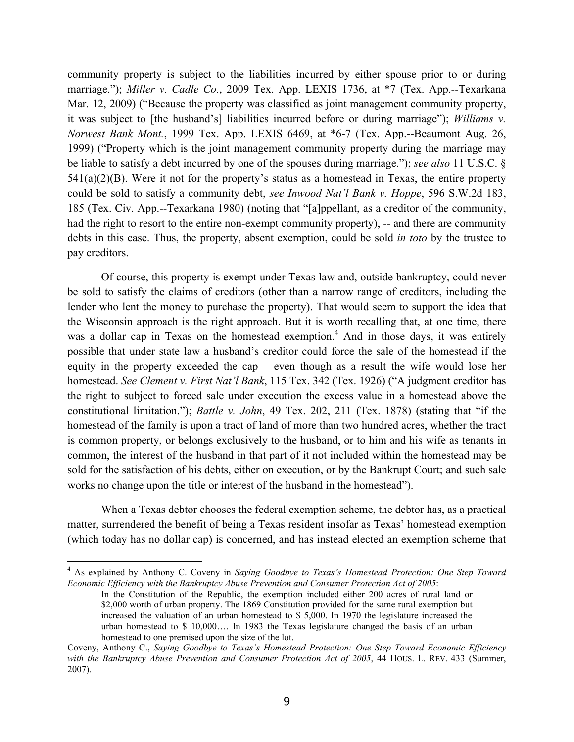community property is subject to the liabilities incurred by either spouse prior to or during marriage."); *Miller v. Cadle Co.*, 2009 Tex. App. LEXIS 1736, at \*7 (Tex. App.--Texarkana Mar. 12, 2009) ("Because the property was classified as joint management community property, it was subject to [the husband's] liabilities incurred before or during marriage"); *Williams v. Norwest Bank Mont.*, 1999 Tex. App. LEXIS 6469, at \*6-7 (Tex. App.--Beaumont Aug. 26, 1999) ("Property which is the joint management community property during the marriage may be liable to satisfy a debt incurred by one of the spouses during marriage."); *see also* 11 U.S.C. §  $541(a)(2)(B)$ . Were it not for the property's status as a homestead in Texas, the entire property could be sold to satisfy a community debt, *see Inwood Nat'l Bank v. Hoppe*, 596 S.W.2d 183, 185 (Tex. Civ. App.--Texarkana 1980) (noting that "[a]ppellant, as a creditor of the community, had the right to resort to the entire non-exempt community property), -- and there are community debts in this case. Thus, the property, absent exemption, could be sold *in toto* by the trustee to pay creditors.

Of course, this property is exempt under Texas law and, outside bankruptcy, could never be sold to satisfy the claims of creditors (other than a narrow range of creditors, including the lender who lent the money to purchase the property). That would seem to support the idea that the Wisconsin approach is the right approach. But it is worth recalling that, at one time, there was a dollar cap in Texas on the homestead exemption.<sup>4</sup> And in those days, it was entirely possible that under state law a husband's creditor could force the sale of the homestead if the equity in the property exceeded the cap – even though as a result the wife would lose her homestead. *See Clement v. First Nat'l Bank*, 115 Tex. 342 (Tex. 1926) ("A judgment creditor has the right to subject to forced sale under execution the excess value in a homestead above the constitutional limitation."); *Battle v. John*, 49 Tex. 202, 211 (Tex. 1878) (stating that "if the homestead of the family is upon a tract of land of more than two hundred acres, whether the tract is common property, or belongs exclusively to the husband, or to him and his wife as tenants in common, the interest of the husband in that part of it not included within the homestead may be sold for the satisfaction of his debts, either on execution, or by the Bankrupt Court; and such sale works no change upon the title or interest of the husband in the homestead").

When a Texas debtor chooses the federal exemption scheme, the debtor has, as a practical matter, surrendered the benefit of being a Texas resident insofar as Texas' homestead exemption (which today has no dollar cap) is concerned, and has instead elected an exemption scheme that

 $\frac{1}{4}$  As explained by Anthony C. Coveny in *Saying Goodbye to Texas's Homestead Protection: One Step Toward Economic Efficiency with the Bankruptcy Abuse Prevention and Consumer Protection Act of 2005*:

In the Constitution of the Republic, the exemption included either 200 acres of rural land or \$2,000 worth of urban property. The 1869 Constitution provided for the same rural exemption but increased the valuation of an urban homestead to \$ 5,000. In 1970 the legislature increased the urban homestead to \$ 10,000…. In 1983 the Texas legislature changed the basis of an urban homestead to one premised upon the size of the lot.

Coveny, Anthony C., *Saying Goodbye to Texas's Homestead Protection: One Step Toward Economic Efficiency*  with the Bankruptcy Abuse Prevention and Consumer Protection Act of 2005, 44 HOUS. L. REV. 433 (Summer, 2007).